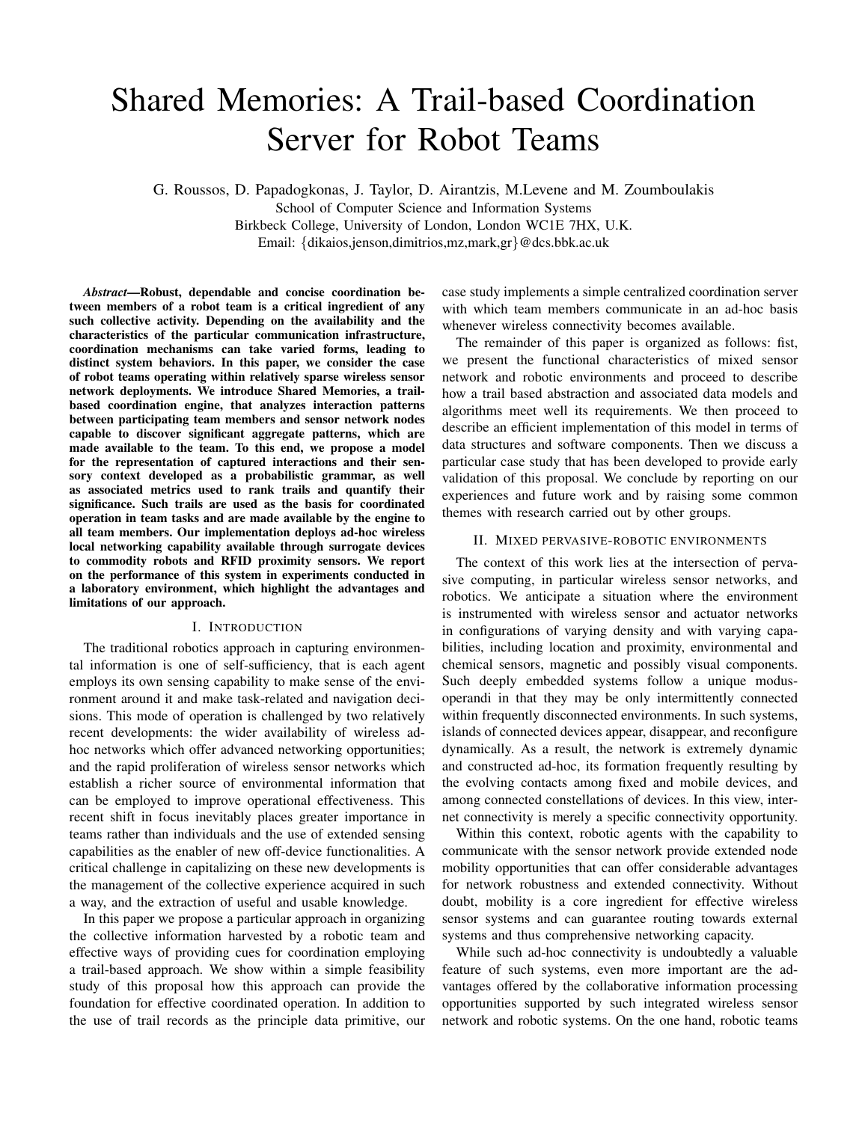# Shared Memories: A Trail-based Coordination Server for Robot Teams

G. Roussos, D. Papadogkonas, J. Taylor, D. Airantzis, M.Levene and M. Zoumboulakis School of Computer Science and Information Systems Birkbeck College, University of London, London WC1E 7HX, U.K. Email: {dikaios,jenson,dimitrios,mz,mark,gr}@dcs.bbk.ac.uk

*Abstract*—Robust, dependable and concise coordination between members of a robot team is a critical ingredient of any such collective activity. Depending on the availability and the characteristics of the particular communication infrastructure, coordination mechanisms can take varied forms, leading to distinct system behaviors. In this paper, we consider the case of robot teams operating within relatively sparse wireless sensor network deployments. We introduce Shared Memories, a trailbased coordination engine, that analyzes interaction patterns between participating team members and sensor network nodes capable to discover significant aggregate patterns, which are made available to the team. To this end, we propose a model for the representation of captured interactions and their sensory context developed as a probabilistic grammar, as well as associated metrics used to rank trails and quantify their significance. Such trails are used as the basis for coordinated operation in team tasks and are made available by the engine to all team members. Our implementation deploys ad-hoc wireless local networking capability available through surrogate devices to commodity robots and RFID proximity sensors. We report on the performance of this system in experiments conducted in a laboratory environment, which highlight the advantages and limitations of our approach.

## I. INTRODUCTION

The traditional robotics approach in capturing environmental information is one of self-sufficiency, that is each agent employs its own sensing capability to make sense of the environment around it and make task-related and navigation decisions. This mode of operation is challenged by two relatively recent developments: the wider availability of wireless adhoc networks which offer advanced networking opportunities; and the rapid proliferation of wireless sensor networks which establish a richer source of environmental information that can be employed to improve operational effectiveness. This recent shift in focus inevitably places greater importance in teams rather than individuals and the use of extended sensing capabilities as the enabler of new off-device functionalities. A critical challenge in capitalizing on these new developments is the management of the collective experience acquired in such a way, and the extraction of useful and usable knowledge.

In this paper we propose a particular approach in organizing the collective information harvested by a robotic team and effective ways of providing cues for coordination employing a trail-based approach. We show within a simple feasibility study of this proposal how this approach can provide the foundation for effective coordinated operation. In addition to the use of trail records as the principle data primitive, our case study implements a simple centralized coordination server with which team members communicate in an ad-hoc basis whenever wireless connectivity becomes available.

The remainder of this paper is organized as follows: fist, we present the functional characteristics of mixed sensor network and robotic environments and proceed to describe how a trail based abstraction and associated data models and algorithms meet well its requirements. We then proceed to describe an efficient implementation of this model in terms of data structures and software components. Then we discuss a particular case study that has been developed to provide early validation of this proposal. We conclude by reporting on our experiences and future work and by raising some common themes with research carried out by other groups.

## II. MIXED PERVASIVE-ROBOTIC ENVIRONMENTS

The context of this work lies at the intersection of pervasive computing, in particular wireless sensor networks, and robotics. We anticipate a situation where the environment is instrumented with wireless sensor and actuator networks in configurations of varying density and with varying capabilities, including location and proximity, environmental and chemical sensors, magnetic and possibly visual components. Such deeply embedded systems follow a unique modusoperandi in that they may be only intermittently connected within frequently disconnected environments. In such systems, islands of connected devices appear, disappear, and reconfigure dynamically. As a result, the network is extremely dynamic and constructed ad-hoc, its formation frequently resulting by the evolving contacts among fixed and mobile devices, and among connected constellations of devices. In this view, internet connectivity is merely a specific connectivity opportunity.

Within this context, robotic agents with the capability to communicate with the sensor network provide extended node mobility opportunities that can offer considerable advantages for network robustness and extended connectivity. Without doubt, mobility is a core ingredient for effective wireless sensor systems and can guarantee routing towards external systems and thus comprehensive networking capacity.

While such ad-hoc connectivity is undoubtedly a valuable feature of such systems, even more important are the advantages offered by the collaborative information processing opportunities supported by such integrated wireless sensor network and robotic systems. On the one hand, robotic teams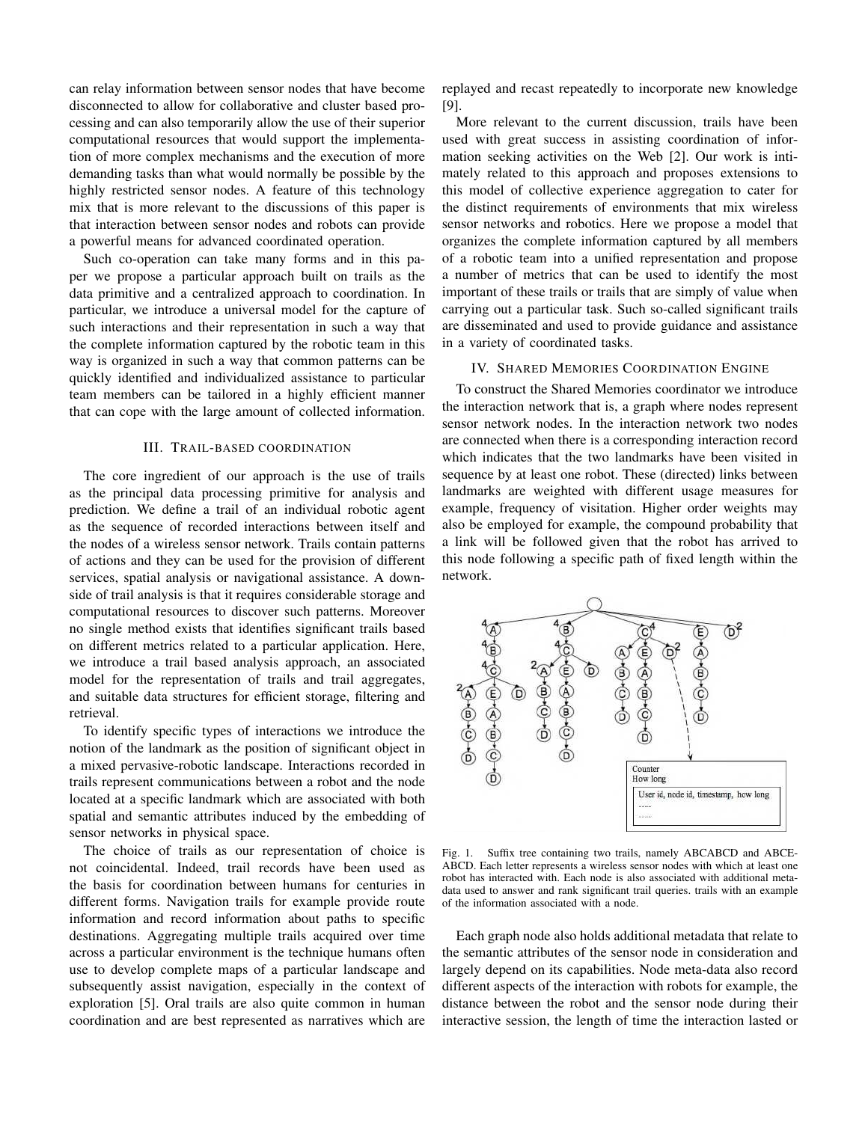can relay information between sensor nodes that have become disconnected to allow for collaborative and cluster based processing and can also temporarily allow the use of their superior computational resources that would support the implementation of more complex mechanisms and the execution of more demanding tasks than what would normally be possible by the highly restricted sensor nodes. A feature of this technology mix that is more relevant to the discussions of this paper is that interaction between sensor nodes and robots can provide a powerful means for advanced coordinated operation.

Such co-operation can take many forms and in this paper we propose a particular approach built on trails as the data primitive and a centralized approach to coordination. In particular, we introduce a universal model for the capture of such interactions and their representation in such a way that the complete information captured by the robotic team in this way is organized in such a way that common patterns can be quickly identified and individualized assistance to particular team members can be tailored in a highly efficient manner that can cope with the large amount of collected information.

## III. TRAIL-BASED COORDINATION

The core ingredient of our approach is the use of trails as the principal data processing primitive for analysis and prediction. We define a trail of an individual robotic agent as the sequence of recorded interactions between itself and the nodes of a wireless sensor network. Trails contain patterns of actions and they can be used for the provision of different services, spatial analysis or navigational assistance. A downside of trail analysis is that it requires considerable storage and computational resources to discover such patterns. Moreover no single method exists that identifies significant trails based on different metrics related to a particular application. Here, we introduce a trail based analysis approach, an associated model for the representation of trails and trail aggregates, and suitable data structures for efficient storage, filtering and retrieval.

To identify specific types of interactions we introduce the notion of the landmark as the position of significant object in a mixed pervasive-robotic landscape. Interactions recorded in trails represent communications between a robot and the node located at a specific landmark which are associated with both spatial and semantic attributes induced by the embedding of sensor networks in physical space.

The choice of trails as our representation of choice is not coincidental. Indeed, trail records have been used as the basis for coordination between humans for centuries in different forms. Navigation trails for example provide route information and record information about paths to specific destinations. Aggregating multiple trails acquired over time across a particular environment is the technique humans often use to develop complete maps of a particular landscape and subsequently assist navigation, especially in the context of exploration [5]. Oral trails are also quite common in human coordination and are best represented as narratives which are replayed and recast repeatedly to incorporate new knowledge [9].

More relevant to the current discussion, trails have been used with great success in assisting coordination of information seeking activities on the Web [2]. Our work is intimately related to this approach and proposes extensions to this model of collective experience aggregation to cater for the distinct requirements of environments that mix wireless sensor networks and robotics. Here we propose a model that organizes the complete information captured by all members of a robotic team into a unified representation and propose a number of metrics that can be used to identify the most important of these trails or trails that are simply of value when carrying out a particular task. Such so-called significant trails are disseminated and used to provide guidance and assistance in a variety of coordinated tasks.

## IV. SHARED MEMORIES COORDINATION ENGINE

To construct the Shared Memories coordinator we introduce the interaction network that is, a graph where nodes represent sensor network nodes. In the interaction network two nodes are connected when there is a corresponding interaction record which indicates that the two landmarks have been visited in sequence by at least one robot. These (directed) links between landmarks are weighted with different usage measures for example, frequency of visitation. Higher order weights may also be employed for example, the compound probability that a link will be followed given that the robot has arrived to this node following a specific path of fixed length within the network.



Fig. 1. Suffix tree containing two trails, namely ABCABCD and ABCE-ABCD. Each letter represents a wireless sensor nodes with which at least one robot has interacted with. Each node is also associated with additional metadata used to answer and rank significant trail queries. trails with an example of the information associated with a node.

Each graph node also holds additional metadata that relate to the semantic attributes of the sensor node in consideration and largely depend on its capabilities. Node meta-data also record different aspects of the interaction with robots for example, the distance between the robot and the sensor node during their interactive session, the length of time the interaction lasted or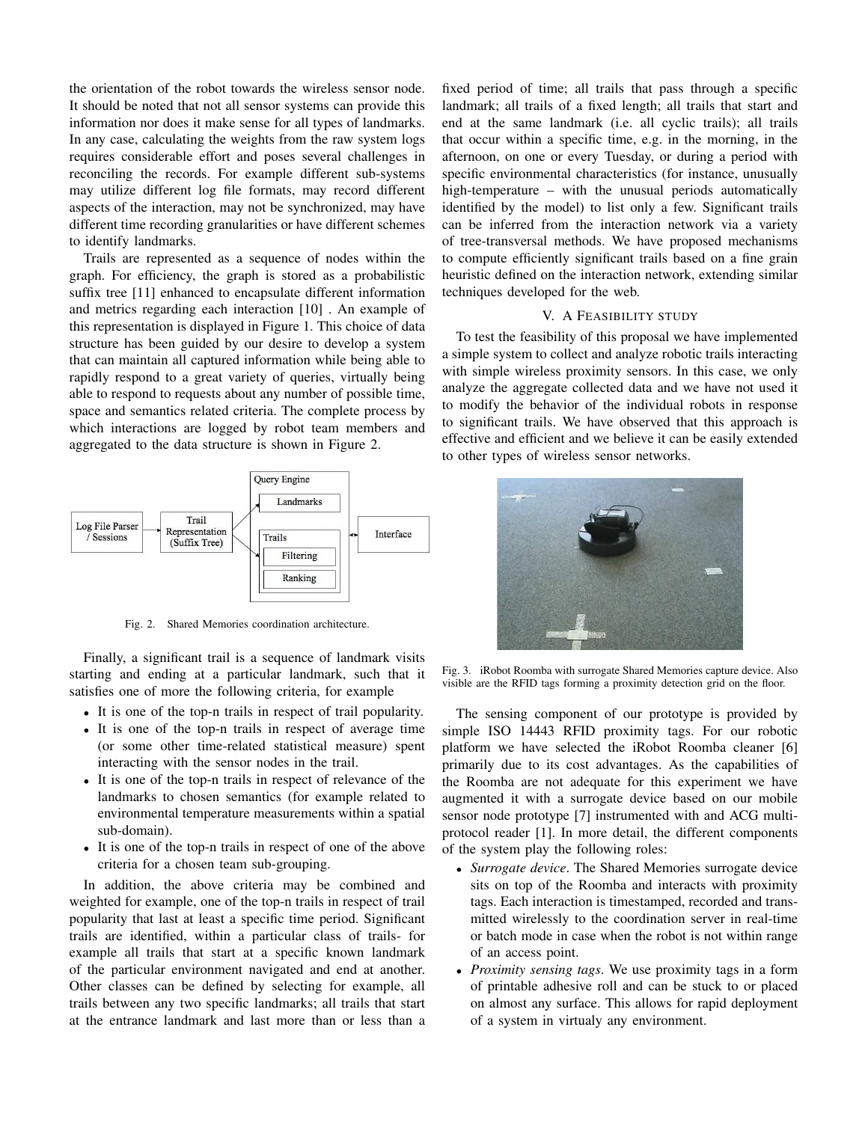the orientation of the robot towards the wireless sensor node. It should be noted that not all sensor systems can provide this information nor does it make sense for all types of landmarks. In any case, calculating the weights from the raw system logs requires considerable effort and poses several challenges in reconciling the records. For example different sub-systems may utilize different log file formats, may record different aspects of the interaction, may not be synchronized, may have different time recording granularities or have different schemes to identify landmarks.

Trails are represented as a sequence of nodes within the graph. For efficiency, the graph is stored as a probabilistic suffix tree [11] enhanced to encapsulate different information and metrics regarding each interaction [10] . An example of this representation is displayed in Figure 1. This choice of data structure has been guided by our desire to develop a system that can maintain all captured information while being able to rapidly respond to a great variety of queries, virtually being able to respond to requests about any number of possible time, space and semantics related criteria. The complete process by which interactions are logged by robot team members and aggregated to the data structure is shown in Figure 2.



Fig. 2. Shared Memories coordination architecture.

Finally, a significant trail is a sequence of landmark visits starting and ending at a particular landmark, such that it satisfies one of more the following criteria, for example

- It is one of the top-n trails in respect of trail popularity.
- It is one of the top-n trails in respect of average time (or some other time-related statistical measure) spent interacting with the sensor nodes in the trail.
- It is one of the top-n trails in respect of relevance of the landmarks to chosen semantics (for example related to environmental temperature measurements within a spatial sub-domain).
- It is one of the top-n trails in respect of one of the above criteria for a chosen team sub-grouping.

In addition, the above criteria may be combined and weighted for example, one of the top-n trails in respect of trail popularity that last at least a specific time period. Significant trails are identified, within a particular class of trails- for example all trails that start at a specific known landmark of the particular environment navigated and end at another. Other classes can be defined by selecting for example, all trails between any two specific landmarks; all trails that start at the entrance landmark and last more than or less than a fixed period of time; all trails that pass through a specific landmark; all trails of a fixed length; all trails that start and end at the same landmark (i.e. all cyclic trails); all trails that occur within a specific time, e.g. in the morning, in the afternoon, on one or every Tuesday, or during a period with specific environmental characteristics (for instance, unusually high-temperature – with the unusual periods automatically identified by the model) to list only a few. Significant trails can be inferred from the interaction network via a variety of tree-transversal methods. We have proposed mechanisms to compute efficiently significant trails based on a fine grain heuristic defined on the interaction network, extending similar techniques developed for the web.

#### V. A FEASIBILITY STUDY

To test the feasibility of this proposal we have implemented a simple system to collect and analyze robotic trails interacting with simple wireless proximity sensors. In this case, we only analyze the aggregate collected data and we have not used it to modify the behavior of the individual robots in response to significant trails. We have observed that this approach is effective and efficient and we believe it can be easily extended to other types of wireless sensor networks.



Fig. 3. iRobot Roomba with surrogate Shared Memories capture device. Also visible are the RFID tags forming a proximity detection grid on the floor.

The sensing component of our prototype is provided by simple ISO 14443 RFID proximity tags. For our robotic platform we have selected the iRobot Roomba cleaner [6] primarily due to its cost advantages. As the capabilities of the Roomba are not adequate for this experiment we have augmented it with a surrogate device based on our mobile sensor node prototype [7] instrumented with and ACG multiprotocol reader [1]. In more detail, the different components of the system play the following roles:

- *Surrogate device*. The Shared Memories surrogate device sits on top of the Roomba and interacts with proximity tags. Each interaction is timestamped, recorded and transmitted wirelessly to the coordination server in real-time or batch mode in case when the robot is not within range of an access point.
- *Proximity sensing tags*. We use proximity tags in a form of printable adhesive roll and can be stuck to or placed on almost any surface. This allows for rapid deployment of a system in virtualy any environment.